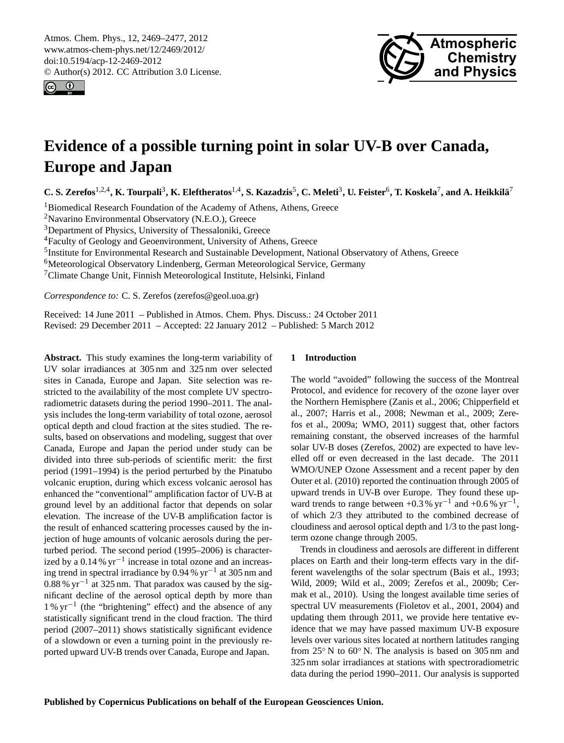<span id="page-0-0"></span>Atmos. Chem. Phys., 12, 2469–2477, 2012 www.atmos-chem-phys.net/12/2469/2012/ doi:10.5194/acp-12-2469-2012 © Author(s) 2012. CC Attribution 3.0 License.





# **Evidence of a possible turning point in solar UV-B over Canada, Europe and Japan**

C. S. Zerefos<sup>1,2,4</sup>, K. Tourpali<sup>3</sup>, K. Eleftheratos<sup>1,4</sup>, S. Kazadzis<sup>5</sup>, C. Meleti<sup>3</sup>, U. Feister<sup>6</sup>, T. Koskela<sup>7</sup>, and A. Heikkilä<sup>7</sup>

<sup>1</sup>Biomedical Research Foundation of the Academy of Athens, Athens, Greece

<sup>2</sup>Navarino Environmental Observatory (N.E.O.), Greece

<sup>3</sup>Department of Physics, University of Thessaloniki, Greece

<sup>4</sup>Faculty of Geology and Geoenvironment, University of Athens, Greece

<sup>5</sup>Institute for Environmental Research and Sustainable Development, National Observatory of Athens, Greece

<sup>6</sup>Meteorological Observatory Lindenberg, German Meteorological Service, Germany

<sup>7</sup>Climate Change Unit, Finnish Meteorological Institute, Helsinki, Finland

*Correspondence to:* C. S. Zerefos (zerefos@geol.uoa.gr)

Received: 14 June 2011 – Published in Atmos. Chem. Phys. Discuss.: 24 October 2011 Revised: 29 December 2011 – Accepted: 22 January 2012 – Published: 5 March 2012

**Abstract.** This study examines the long-term variability of UV solar irradiances at 305 nm and 325 nm over selected sites in Canada, Europe and Japan. Site selection was restricted to the availability of the most complete UV spectroradiometric datasets during the period 1990–2011. The analysis includes the long-term variability of total ozone, aerosol optical depth and cloud fraction at the sites studied. The results, based on observations and modeling, suggest that over Canada, Europe and Japan the period under study can be divided into three sub-periods of scientific merit: the first period (1991–1994) is the period perturbed by the Pinatubo volcanic eruption, during which excess volcanic aerosol has enhanced the "conventional" amplification factor of UV-B at ground level by an additional factor that depends on solar elevation. The increase of the UV-B amplification factor is the result of enhanced scattering processes caused by the injection of huge amounts of volcanic aerosols during the perturbed period. The second period (1995–2006) is characterized by a 0.14 % yr−<sup>1</sup> increase in total ozone and an increasing trend in spectral irradiance by 0.94 % yr−<sup>1</sup> at 305 nm and 0.88 % yr−<sup>1</sup> at 325 nm. That paradox was caused by the significant decline of the aerosol optical depth by more than 1 % yr−<sup>1</sup> (the "brightening" effect) and the absence of any statistically significant trend in the cloud fraction. The third period (2007–2011) shows statistically significant evidence of a slowdown or even a turning point in the previously reported upward UV-B trends over Canada, Europe and Japan.

# **1 Introduction**

The world "avoided" following the success of the Montreal Protocol, and evidence for recovery of the ozone layer over the Northern Hemisphere (Zanis et al., 2006; Chipperfield et al., 2007; Harris et al., 2008; Newman et al., 2009; Zerefos et al., 2009a; WMO, 2011) suggest that, other factors remaining constant, the observed increases of the harmful solar UV-B doses (Zerefos, 2002) are expected to have levelled off or even decreased in the last decade. The 2011 WMO/UNEP Ozone Assessment and a recent paper by den Outer et al. (2010) reported the continuation through 2005 of upward trends in UV-B over Europe. They found these upward trends to range between +0.3% yr<sup>-1</sup> and +0.6% yr<sup>-1</sup>, of which 2/3 they attributed to the combined decrease of cloudiness and aerosol optical depth and 1/3 to the past longterm ozone change through 2005.

Trends in cloudiness and aerosols are different in different places on Earth and their long-term effects vary in the different wavelengths of the solar spectrum (Bais et al., 1993; Wild, 2009; Wild et al., 2009; Zerefos et al., 2009b; Cermak et al., 2010). Using the longest available time series of spectral UV measurements (Fioletov et al., 2001, 2004) and updating them through 2011, we provide here tentative evidence that we may have passed maximum UV-B exposure levels over various sites located at northern latitudes ranging from 25<sup>°</sup> N to 60<sup>°</sup> N. The analysis is based on 305 nm and 325 nm solar irradiances at stations with spectroradiometric data during the period 1990–2011. Our analysis is supported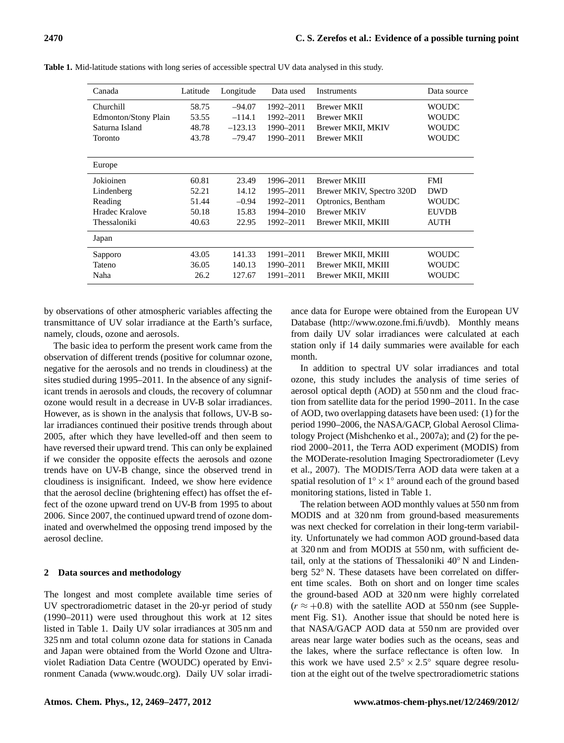| Canada                      | Latitude | Longitude | Data used | <b>Instruments</b>        | Data source  |
|-----------------------------|----------|-----------|-----------|---------------------------|--------------|
| Churchill                   | 58.75    | $-94.07$  | 1992-2011 | <b>Brewer MKII</b>        | <b>WOUDC</b> |
| <b>Edmonton/Stony Plain</b> | 53.55    | $-114.1$  | 1992-2011 | <b>Brewer MKII</b>        | <b>WOUDC</b> |
| Saturna Island              | 48.78    | $-123.13$ | 1990-2011 | <b>Brewer MKII, MKIV</b>  | <b>WOUDC</b> |
| Toronto                     | 43.78    | $-79.47$  | 1990-2011 | <b>Brewer MKII</b>        | <b>WOUDC</b> |
|                             |          |           |           |                           |              |
| Europe                      |          |           |           |                           |              |
| Jokioinen                   | 60.81    | 23.49     | 1996-2011 | <b>Brewer MKIII</b>       | <b>FMI</b>   |
| Lindenberg                  | 52.21    | 14.12     | 1995–2011 | Brewer MKIV, Spectro 320D | <b>DWD</b>   |
| Reading                     | 51.44    | $-0.94$   | 1992-2011 | Optronics, Bentham        | <b>WOUDC</b> |
| Hradec Kralove              | 50.18    | 15.83     | 1994-2010 | <b>Brewer MKIV</b>        | <b>EUVDB</b> |
| Thessaloniki                | 40.63    | 22.95     | 1992-2011 | Brewer MKII, MKIII        | <b>AUTH</b>  |
| Japan                       |          |           |           |                           |              |
| Sapporo                     | 43.05    | 141.33    | 1991-2011 | Brewer MKII, MKIII        | <b>WOUDC</b> |
| Tateno                      | 36.05    | 140.13    | 1990–2011 | Brewer MKII, MKIII        | <b>WOUDC</b> |
| Naha                        | 26.2     | 127.67    | 1991-2011 | Brewer MKII, MKIII        | <b>WOUDC</b> |

**Table 1.** Mid-latitude stations with long series of accessible spectral UV data analysed in this study.

by observations of other atmospheric variables affecting the transmittance of UV solar irradiance at the Earth's surface, namely, clouds, ozone and aerosols.

The basic idea to perform the present work came from the observation of different trends (positive for columnar ozone, negative for the aerosols and no trends in cloudiness) at the sites studied during 1995–2011. In the absence of any significant trends in aerosols and clouds, the recovery of columnar ozone would result in a decrease in UV-B solar irradiances. However, as is shown in the analysis that follows, UV-B solar irradiances continued their positive trends through about 2005, after which they have levelled-off and then seem to have reversed their upward trend. This can only be explained if we consider the opposite effects the aerosols and ozone trends have on UV-B change, since the observed trend in cloudiness is insignificant. Indeed, we show here evidence that the aerosol decline (brightening effect) has offset the effect of the ozone upward trend on UV-B from 1995 to about 2006. Since 2007, the continued upward trend of ozone dominated and overwhelmed the opposing trend imposed by the aerosol decline.

#### **2 Data sources and methodology**

The longest and most complete available time series of UV spectroradiometric dataset in the 20-yr period of study (1990–2011) were used throughout this work at 12 sites listed in Table 1. Daily UV solar irradiances at 305 nm and 325 nm and total column ozone data for stations in Canada and Japan were obtained from the World Ozone and Ultraviolet Radiation Data Centre (WOUDC) operated by Environment Canada [\(www.woudc.org\)](www.woudc.org). Daily UV solar irradiance data for Europe were obtained from the European UV Database [\(http://www.ozone.fmi.fi/uvdb\)](http://www.ozone.fmi.fi/uvdb). Monthly means from daily UV solar irradiances were calculated at each station only if 14 daily summaries were available for each month.

In addition to spectral UV solar irradiances and total ozone, this study includes the analysis of time series of aerosol optical depth (AOD) at 550 nm and the cloud fraction from satellite data for the period 1990–2011. In the case of AOD, two overlapping datasets have been used: (1) for the period 1990–2006, the NASA/GACP, Global Aerosol Climatology Project (Mishchenko et al., 2007a); and (2) for the period 2000–2011, the Terra AOD experiment (MODIS) from the MODerate-resolution Imaging Spectroradiometer (Levy et al., 2007). The MODIS/Terra AOD data were taken at a spatial resolution of  $1^\circ \times 1^\circ$  around each of the ground based monitoring stations, listed in Table 1.

The relation between AOD monthly values at 550 nm from MODIS and at 320 nm from ground-based measurements was next checked for correlation in their long-term variability. Unfortunately we had common AOD ground-based data at 320 nm and from MODIS at 550 nm, with sufficient detail, only at the stations of Thessaloniki 40◦ N and Lindenberg 52◦ N. These datasets have been correlated on different time scales. Both on short and on longer time scales the ground-based AOD at 320 nm were highly correlated  $(r \approx +0.8)$  with the satellite AOD at 550 nm (see Supplement Fig. S1). Another issue that should be noted here is that NASA/GACP AOD data at 550 nm are provided over areas near large water bodies such as the oceans, seas and the lakes, where the surface reflectance is often low. In this work we have used  $2.5^{\circ} \times 2.5^{\circ}$  square degree resolution at the eight out of the twelve spectroradiometric stations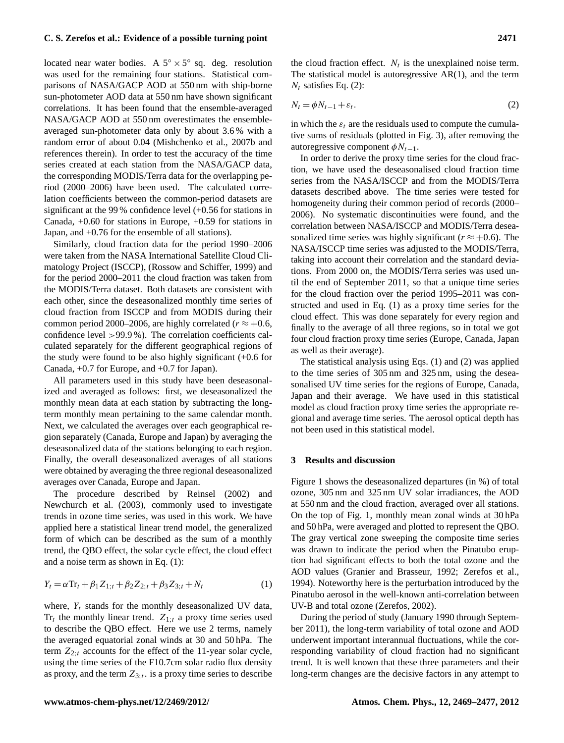# **C. S. Zerefos et al.: Evidence of a possible turning point 2471**

located near water bodies. A  $5^{\circ} \times 5^{\circ}$  sq. deg. resolution was used for the remaining four stations. Statistical comparisons of NASA/GACP AOD at 550 nm with ship-borne sun-photometer AOD data at 550 nm have shown significant correlations. It has been found that the ensemble-averaged NASA/GACP AOD at 550 nm overestimates the ensembleaveraged sun-photometer data only by about 3.6 % with a random error of about 0.04 (Mishchenko et al., 2007b and references therein). In order to test the accuracy of the time series created at each station from the NASA/GACP data, the corresponding MODIS/Terra data for the overlapping period (2000–2006) have been used. The calculated correlation coefficients between the common-period datasets are significant at the 99 % confidence level (+0.56 for stations in Canada, +0.60 for stations in Europe, +0.59 for stations in Japan, and +0.76 for the ensemble of all stations).

Similarly, cloud fraction data for the period 1990–2006 were taken from the NASA International Satellite Cloud Climatology Project (ISCCP), (Rossow and Schiffer, 1999) and for the period 2000–2011 the cloud fraction was taken from the MODIS/Terra dataset. Both datasets are consistent with each other, since the deseasonalized monthly time series of cloud fraction from ISCCP and from MODIS during their common period 2000–2006, are highly correlated ( $r \approx +0.6$ , confidence level >99.9 %). The correlation coefficients calculated separately for the different geographical regions of the study were found to be also highly significant (+0.6 for Canada, +0.7 for Europe, and +0.7 for Japan).

All parameters used in this study have been deseasonalized and averaged as follows: first, we deseasonalized the monthly mean data at each station by subtracting the longterm monthly mean pertaining to the same calendar month. Next, we calculated the averages over each geographical region separately (Canada, Europe and Japan) by averaging the deseasonalized data of the stations belonging to each region. Finally, the overall deseasonalized averages of all stations were obtained by averaging the three regional deseasonalized averages over Canada, Europe and Japan.

The procedure described by Reinsel (2002) and Newchurch et al. (2003), commonly used to investigate trends in ozone time series, was used in this work. We have applied here a statistical linear trend model, the generalized form of which can be described as the sum of a monthly trend, the QBO effect, the solar cycle effect, the cloud effect and a noise term as shown in Eq. (1):

$$
Y_t = \alpha \text{Tr}_t + \beta_1 Z_{1;t} + \beta_2 Z_{2;t} + \beta_3 Z_{3;t} + N_t \tag{1}
$$

where,  $Y_t$  stands for the monthly deseasonalized UV data,  $Tr_t$  the monthly linear trend.  $Z_{1;t}$  a proxy time series used to describe the QBO effect. Here we use 2 terms, namely the averaged equatorial zonal winds at 30 and 50 hPa. The term  $Z_{2:t}$  accounts for the effect of the 11-year solar cycle, using the time series of the F10.7cm solar radio flux density as proxy, and the term  $Z_{3;t}$ . is a proxy time series to describe

the cloud fraction effect.  $N_t$  is the unexplained noise term. The statistical model is autoregressive AR(1), and the term  $N_t$  satisfies Eq. (2):

$$
N_t = \phi N_{t-1} + \varepsilon_t. \tag{2}
$$

in which the  $\varepsilon_t$  are the residuals used to compute the cumulative sums of residuals (plotted in Fig. 3), after removing the autoregressive component  $\phi N_{t-1}$ .

In order to derive the proxy time series for the cloud fraction, we have used the deseasonalised cloud fraction time series from the NASA/ISCCP and from the MODIS/Terra datasets described above. The time series were tested for homogeneity during their common period of records (2000– 2006). No systematic discontinuities were found, and the correlation between NASA/ISCCP and MODIS/Terra deseasonalized time series was highly significant ( $r \approx +0.6$ ). The NASA/ISCCP time series was adjusted to the MODIS/Terra, taking into account their correlation and the standard deviations. From 2000 on, the MODIS/Terra series was used until the end of September 2011, so that a unique time series for the cloud fraction over the period 1995–2011 was constructed and used in Eq. (1) as a proxy time series for the cloud effect. This was done separately for every region and finally to the average of all three regions, so in total we got four cloud fraction proxy time series (Europe, Canada, Japan as well as their average).

The statistical analysis using Eqs. (1) and (2) was applied to the time series of 305 nm and 325 nm, using the deseasonalised UV time series for the regions of Europe, Canada, Japan and their average. We have used in this statistical model as cloud fraction proxy time series the appropriate regional and average time series. The aerosol optical depth has not been used in this statistical model.

#### **3 Results and discussion**

Figure 1 shows the deseasonalized departures (in %) of total ozone, 305 nm and 325 nm UV solar irradiances, the AOD at 550 nm and the cloud fraction, averaged over all stations. On the top of Fig. 1, monthly mean zonal winds at 30 hPa and 50 hPa, were averaged and plotted to represent the QBO. The gray vertical zone sweeping the composite time series was drawn to indicate the period when the Pinatubo eruption had significant effects to both the total ozone and the AOD values (Granier and Brasseur, 1992; Zerefos et al., 1994). Noteworthy here is the perturbation introduced by the Pinatubo aerosol in the well-known anti-correlation between UV-B and total ozone (Zerefos, 2002).

During the period of study (January 1990 through September 2011), the long-term variability of total ozone and AOD underwent important interannual fluctuations, while the corresponding variability of cloud fraction had no significant trend. It is well known that these three parameters and their long-term changes are the decisive factors in any attempt to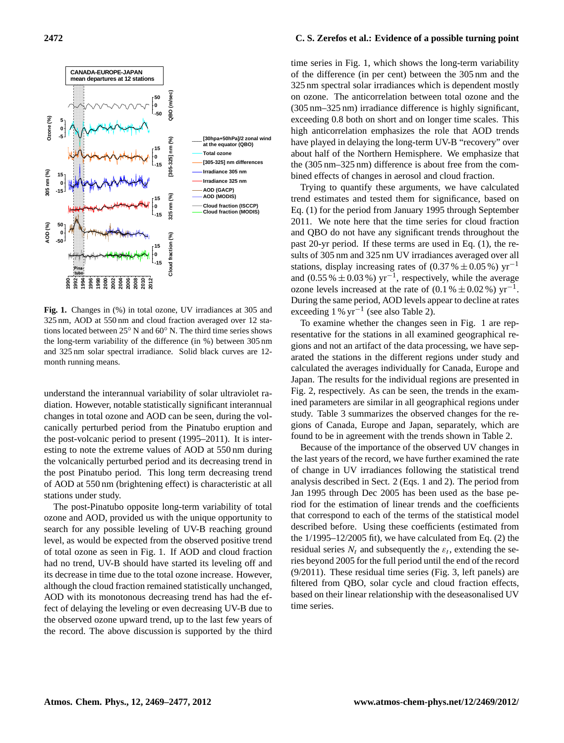

Fig. 1. Changes in (%) in total ozone, UV irradiances at 305 and 325 nm, AOD at 550 nm and cloud fraction averaged over 12 stations located between 25◦ N and 60◦ N. The third time series shows the long-term variability of the difference (in %) between 305 nm and 325 nm solar spectral irradiance. Solid black curves are 12 month running means.

understand the interannual variability of solar ultraviolet radiation. However, notable statistically significant interannual changes in total ozone and AOD can be seen, during the volcanically perturbed period from the Pinatubo eruption and the post-volcanic period to present (1995–2011). It is interesting to note the extreme values of AOD at 550 nm during the volcanically perturbed period and its decreasing trend in the post Pinatubo period. This long term decreasing trend of AOD at 550 nm (brightening effect) is characteristic at all stations under study.

The post-Pinatubo opposite long-term variability of total ozone and AOD, provided us with the unique opportunity to search for any possible leveling of UV-B reaching ground level, as would be expected from the observed positive trend of total ozone as seen in Fig. 1. If AOD and cloud fraction had no trend, UV-B should have started its leveling off and its decrease in time due to the total ozone increase. However, although the cloud fraction remained statistically unchanged, AOD with its monotonous decreasing trend has had the effect of delaying the leveling or even decreasing UV-B due to the observed ozone upward trend, up to the last few years of the record. The above discussion is supported by the third

# **2472 C. S. Zerefos et al.: Evidence of a possible turning point**

time series in Fig. 1, which shows the long-term variability of the difference (in per cent) between the 305 nm and the 325 nm spectral solar irradiances which is dependent mostly on ozone. The anticorrelation between total ozone and the (305 nm–325 nm) irradiance difference is highly significant, exceeding 0.8 both on short and on longer time scales. This high anticorrelation emphasizes the role that AOD trends have played in delaying the long-term UV-B "recovery" over about half of the Northern Hemisphere. We emphasize that the (305 nm–325 nm) difference is about free from the combined effects of changes in aerosol and cloud fraction.

Trying to quantify these arguments, we have calculated trend estimates and tested them for significance, based on Eq. (1) for the period from January 1995 through September 2011. We note here that the time series for cloud fraction and QBO do not have any significant trends throughout the past 20-yr period. If these terms are used in Eq. (1), the results of 305 nm and 325 nm UV irradiances averaged over all stations, display increasing rates of  $(0.37 % \pm 0.05 %)$  yr<sup>-1</sup> and (0.55 %  $\pm$  0.03 %) yr<sup>-1</sup>, respectively, while the average ozone levels increased at the rate of  $(0.1 % \pm 0.02 %)$  yr<sup>-1</sup>. During the same period, AOD levels appear to decline at rates exceeding 1 % yr−<sup>1</sup> (see also Table 2).

To examine whether the changes seen in Fig. 1 are representative for the stations in all examined geographical regions and not an artifact of the data processing, we have separated the stations in the different regions under study and calculated the averages individually for Canada, Europe and Japan. The results for the individual regions are presented in Fig. 2, respectively. As can be seen, the trends in the examined parameters are similar in all geographical regions under study. Table 3 summarizes the observed changes for the regions of Canada, Europe and Japan, separately, which are found to be in agreement with the trends shown in Table 2.

Because of the importance of the observed UV changes in the last years of the record, we have further examined the rate of change in UV irradiances following the statistical trend analysis described in Sect. 2 (Eqs. 1 and 2). The period from Jan 1995 through Dec 2005 has been used as the base period for the estimation of linear trends and the coefficients that correspond to each of the terms of the statistical model described before. Using these coefficients (estimated from the 1/1995–12/2005 fit), we have calculated from Eq. (2) the residual series  $N_t$  and subsequently the  $\varepsilon_t$ , extending the series beyond 2005 for the full period until the end of the record (9/2011). These residual time series (Fig. 3, left panels) are filtered from QBO, solar cycle and cloud fraction effects, based on their linear relationship with the deseasonalised UV time series.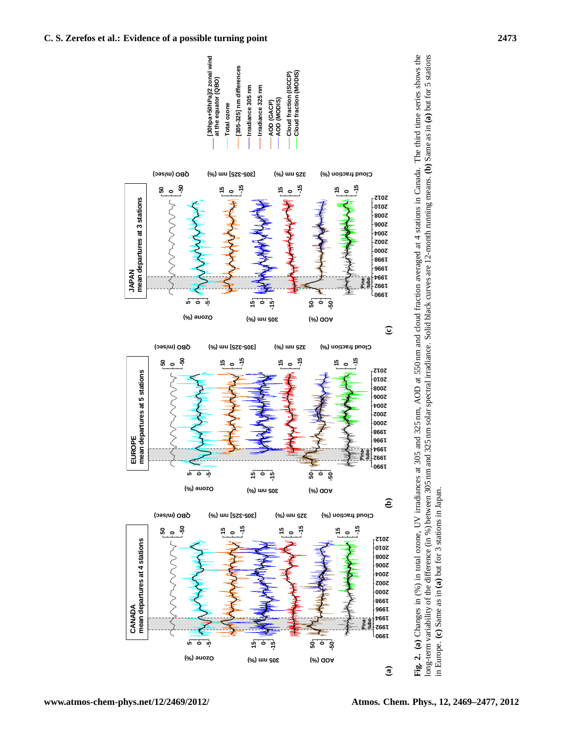

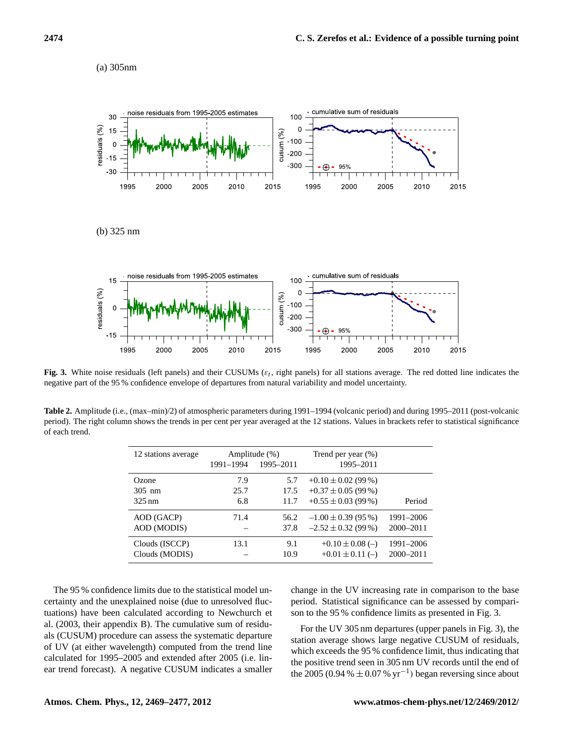(a) 305nm



**Fig. 3.** White noise residuals (left panels) and their CUSUMs ( $\varepsilon_t$ , right panels) for all stations average. The red dotted line indicates the negative part of the 95 % confidence envelope of departures from natural variability and model uncertainty.

**Table 2.** Amplitude (i.e., (max–min)/2) of atmospheric parameters during 1991–1994 (volcanic period) and during 1995–2011 (post-volcanic period). The right column shows the trends in per cent per year averaged at the 12 stations. Values in brackets refer to statistical significance of each trend.

| 12 stations average | Amplitude (%) |           | Trend per year $(\%)$   |               |
|---------------------|---------------|-----------|-------------------------|---------------|
|                     | 1991-1994     | 1995-2011 | 1995-2011               |               |
| Ozone               | 7.9           | 5.7       | $+0.10 \pm 0.02$ (99 %) |               |
| $305$ nm            | 25.7          | 17.5      | $+0.37 \pm 0.05$ (99 %) |               |
| $325 \text{ nm}$    | 6.8           | 11.7      | $+0.55 \pm 0.03$ (99 %) | Period        |
| AOD (GACP)          | 71.4          | 56.2      | $-1.00 \pm 0.39$ (95 %) | 1991-2006     |
| AOD (MODIS)         |               | 37.8      | $-2.52 \pm 0.32$ (99 %) | 2000-2011     |
| Clouds (ISCCP)      | 13.1          | 9.1       | $+0.10 \pm 0.08$ (-)    | 1991-2006     |
| Clouds (MODIS)      |               | 10.9      | $+0.01 \pm 0.11$ (-)    | $2000 - 2011$ |

The 95 % confidence limits due to the statistical model uncertainty and the unexplained noise (due to unresolved fluctuations) have been calculated according to Newchurch et al. (2003, their appendix B). The cumulative sum of residuals (CUSUM) procedure can assess the systematic departure of UV (at either wavelength) computed from the trend line calculated for 1995–2005 and extended after 2005 (i.e. linear trend forecast). A negative CUSUM indicates a smaller

change in the UV increasing rate in comparison to the base period. Statistical significance can be assessed by comparison to the 95 % confidence limits as presented in Fig. 3.

For the UV 305 nm departures (upper panels in Fig. 3), the station average shows large negative CUSUM of residuals, which exceeds the 95 % confidence limit, thus indicating that the positive trend seen in 305 nm UV records until the end of the 2005 (0.94 %  $\pm$  0.07 % yr<sup>-1</sup>) began reversing since about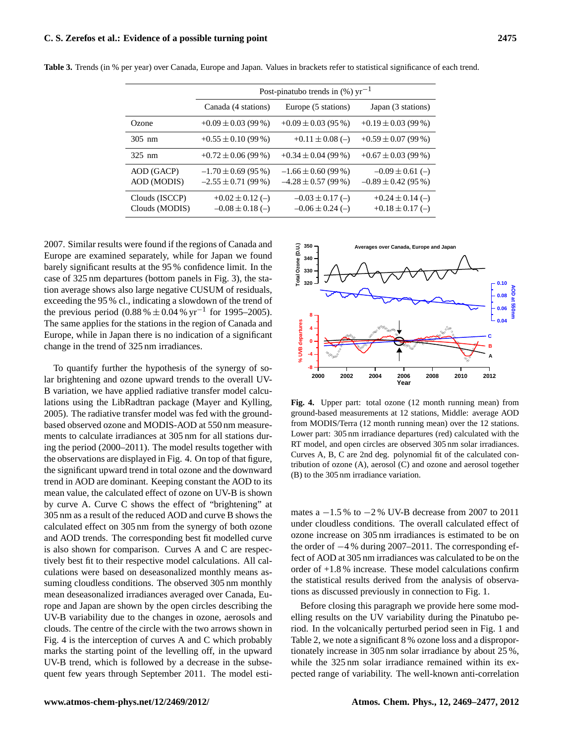|                                  | Post-pinatubo trends in $(\%)$ yr <sup>-1</sup>    |                                                    |                                                 |  |  |
|----------------------------------|----------------------------------------------------|----------------------------------------------------|-------------------------------------------------|--|--|
|                                  | Canada (4 stations)                                | Europe (5 stations)                                | Japan (3 stations)                              |  |  |
| Ozone                            | $+0.09 \pm 0.03$ (99 %)                            | $+0.09 \pm 0.03$ (95 %)                            | $+0.19 \pm 0.03$ (99 %)                         |  |  |
| $305$ nm                         | $+0.55 \pm 0.10$ (99 %)                            | $+0.11 \pm 0.08$ (-)                               | $+0.59 \pm 0.07(99\%)$                          |  |  |
| $325 \text{ nm}$                 | $+0.72 \pm 0.06$ (99 %)                            | $+0.34 \pm 0.04$ (99 %)                            | $+0.67 \pm 0.03$ (99 %)                         |  |  |
| AOD (GACP)<br>AOD (MODIS)        | $-1.70 \pm 0.69$ (95 %)<br>$-2.55 \pm 0.71$ (99 %) | $-1.66 \pm 0.60$ (99 %)<br>$-4.28 \pm 0.57$ (99 %) | $-0.09 \pm 0.61$ (-)<br>$-0.89 \pm 0.42$ (95 %) |  |  |
| Clouds (ISCCP)<br>Clouds (MODIS) | $+0.02 \pm 0.12$ (-)<br>$-0.08 \pm 0.18$ (-)       | $-0.03 \pm 0.17$ (-)<br>$-0.06 \pm 0.24$ (-)       | $+0.24 \pm 0.14$ (-)<br>$+0.18 \pm 0.17$ (-)    |  |  |

**Table 3.** Trends (in % per year) over Canada, Europe and Japan. Values in brackets refer to statistical significance of each trend.

2007. Similar results were found if the regions of Canada and Europe are examined separately, while for Japan we found barely significant results at the 95 % confidence limit. In the case of 325 nm departures (bottom panels in Fig. 3), the station average shows also large negative CUSUM of residuals, exceeding the 95 % cl., indicating a slowdown of the trend of the previous period (0.88 %  $\pm$  0.04 % yr<sup>-1</sup> for 1995–2005). The same applies for the stations in the region of Canada and Europe, while in Japan there is no indication of a significant change in the trend of 325 nm irradiances.

To quantify further the hypothesis of the synergy of solar brightening and ozone upward trends to the overall UV-B variation, we have applied radiative transfer model calculations using the LibRadtran package (Mayer and Kylling, 2005). The radiative transfer model was fed with the groundbased observed ozone and MODIS-AOD at 550 nm measurements to calculate irradiances at 305 nm for all stations during the period (2000–2011). The model results together with the observations are displayed in Fig. 4. On top of that figure, the significant upward trend in total ozone and the downward trend in AOD are dominant. Keeping constant the AOD to its mean value, the calculated effect of ozone on UV-B is shown by curve A. Curve C shows the effect of "brightening" at 305 nm as a result of the reduced AOD and curve B shows the calculated effect on 305 nm from the synergy of both ozone and AOD trends. The corresponding best fit modelled curve is also shown for comparison. Curves A and C are respectively best fit to their respective model calculations. All calculations were based on deseasonalized monthly means assuming cloudless conditions. The observed 305 nm monthly mean deseasonalized irradiances averaged over Canada, Europe and Japan are shown by the open circles describing the UV-B variability due to the changes in ozone, aerosols and clouds. The centre of the circle with the two arrows shown in Fig. 4 is the interception of curves A and C which probably marks the starting point of the levelling off, in the upward UV-B trend, which is followed by a decrease in the subsequent few years through September 2011. The model esti-



ground-based measurements at 12 stations, Middle: average AOD **Fig. 4.** Upper part: total ozone (12 month running mean) from from MODIS/Terra (12 month running mean) over the 12 stations. Lower part: 305 nm irradiance departures (red) calculated with the RT model, and open circles are observed 305 nm solar irradiances. Curves A, B, C are 2nd deg. polynomial fit of the calculated contribution of ozone (A), aerosol (C) and ozone and aerosol together (B) to the 305 nm irradiance variation.

mates a  $-1.5\%$  to  $-2\%$  UV-B decrease from 2007 to 2011 under cloudless conditions. The overall calculated effect of ozone increase on 305 nm irradiances is estimated to be on the order of −4 % during 2007–2011. The corresponding effect of AOD at 305 nm irradiances was calculated to be on the order of +1.8 % increase. These model calculations confirm the statistical results derived from the analysis of observations as discussed previously in connection to Fig. 1.

Before closing this paragraph we provide here some modelling results on the UV variability during the Pinatubo period. In the volcanically perturbed period seen in Fig. 1 and Table 2, we note a significant 8 % ozone loss and a disproportionately increase in 305 nm solar irradiance by about 25 %, while the 325 nm solar irradiance remained within its expected range of variability. The well-known anti-correlation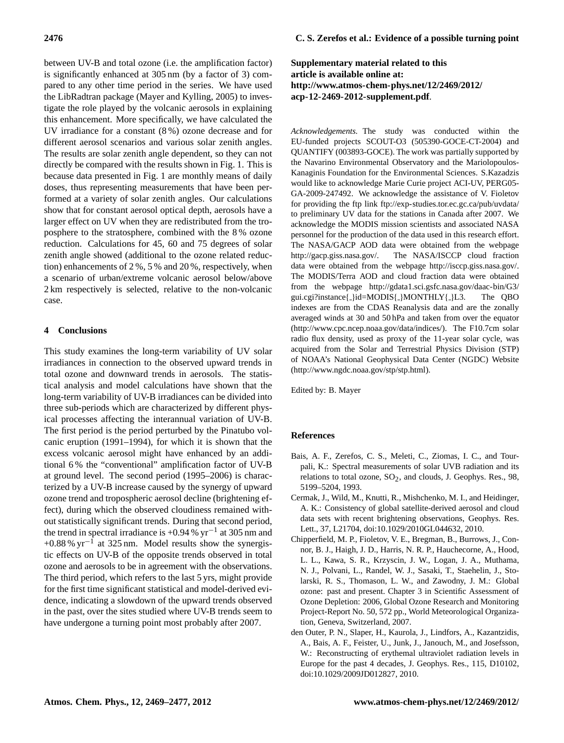between UV-B and total ozone (i.e. the amplification factor) is significantly enhanced at 305 nm (by a factor of 3) compared to any other time period in the series. We have used the LibRadtran package (Mayer and Kylling, 2005) to investigate the role played by the volcanic aerosols in explaining this enhancement. More specifically, we have calculated the UV irradiance for a constant (8 %) ozone decrease and for different aerosol scenarios and various solar zenith angles. The results are solar zenith angle dependent, so they can not directly be compared with the results shown in Fig. 1. This is because data presented in Fig. 1 are monthly means of daily doses, thus representing measurements that have been performed at a variety of solar zenith angles. Our calculations show that for constant aerosol optical depth, aerosols have a larger effect on UV when they are redistributed from the troposphere to the stratosphere, combined with the 8 % ozone reduction. Calculations for 45, 60 and 75 degrees of solar zenith angle showed (additional to the ozone related reduction) enhancements of 2 %, 5 % and 20 %, respectively, when a scenario of urban/extreme volcanic aerosol below/above 2 km respectively is selected, relative to the non-volcanic case.

## **4 Conclusions**

This study examines the long-term variability of UV solar irradiances in connection to the observed upward trends in total ozone and downward trends in aerosols. The statistical analysis and model calculations have shown that the long-term variability of UV-B irradiances can be divided into three sub-periods which are characterized by different physical processes affecting the interannual variation of UV-B. The first period is the period perturbed by the Pinatubo volcanic eruption (1991–1994), for which it is shown that the excess volcanic aerosol might have enhanced by an additional 6 % the "conventional" amplification factor of UV-B at ground level. The second period (1995–2006) is characterized by a UV-B increase caused by the synergy of upward ozone trend and tropospheric aerosol decline (brightening effect), during which the observed cloudiness remained without statistically significant trends. During that second period, the trend in spectral irradiance is +0.94 %  $yr^{-1}$  at 305 nm and +0.88 %  $yr^{-1}$  at 325 nm. Model results show the synergistic effects on UV-B of the opposite trends observed in total ozone and aerosols to be in agreement with the observations. The third period, which refers to the last 5 yrs, might provide for the first time significant statistical and model-derived evidence, indicating a slowdown of the upward trends observed in the past, over the sites studied where UV-B trends seem to have undergone a turning point most probably after 2007.

# **Supplementary material related to this article is available online at: [http://www.atmos-chem-phys.net/12/2469/2012/](http://www.atmos-chem-phys.net/12/2469/2012/acp-12-2469-2012-supplement.pdf) [acp-12-2469-2012-supplement.pdf](http://www.atmos-chem-phys.net/12/2469/2012/acp-12-2469-2012-supplement.pdf)**.

*Acknowledgements.* The study was conducted within the EU-funded projects SCOUT-O3 (505390-GOCE-CT-2004) and QUANTIFY (003893-GOCE). The work was partially supported by the Navarino Environmental Observatory and the Mariolopoulos-Kanaginis Foundation for the Environmental Sciences. S.Kazadzis would like to acknowledge Marie Curie project ACI-UV, PERG05- GA-2009-247492. We acknowledge the assistance of V. Fioletov for providing the ftp link <ftp://exp-studies.tor.ec.gc.ca/pub/uvdata/> to preliminary UV data for the stations in Canada after 2007. We acknowledge the MODIS mission scientists and associated NASA personnel for the production of the data used in this research effort. The NASA/GACP AOD data were obtained from the webpage [http://gacp.giss.nasa.gov/.](http://gacp.giss.nasa.gov/) The NASA/ISCCP cloud fraction data were obtained from the webpage [http://isccp.giss.nasa.gov/.](http://isccp.giss.nasa.gov/) The MODIS/Terra AOD and cloud fraction data were obtained from the webpage [http://gdata1.sci.gsfc.nasa.gov/daac-bin/G3/](http://gdata1.sci.gsfc.nasa.gov/daac-bin/G3/gui.cgi?instance{_}id=MODIS{_}MONTHLY{_}L3) [gui.cgi?instance](http://gdata1.sci.gsfc.nasa.gov/daac-bin/G3/gui.cgi?instance{_}id=MODIS{_}MONTHLY{_}L3){ }id=MODIS{ }MONTHLY{ }L3. The QBO indexes are from the CDAS Reanalysis data and are the zonally averaged winds at 30 and 50 hPa and taken from over the equator [\(http://www.cpc.ncep.noaa.gov/data/indices/\)](http://www.cpc.ncep.noaa.gov/data/indices/). The F10.7cm solar radio flux density, used as proxy of the 11-year solar cycle, was acquired from the Solar and Terrestrial Physics Division (STP) of NOAA's National Geophysical Data Center (NGDC) Website [\(http://www.ngdc.noaa.gov/stp/stp.html\)](http://www.ngdc.noaa.gov/stp/stp.html).

Edited by: B. Mayer

## **References**

- Bais, A. F., Zerefos, C. S., Meleti, C., Ziomas, I. C., and Tourpali, K.: Spectral measurements of solar UVB radiation and its relations to total ozone,  $SO_2$ , and clouds, J. Geophys. Res., 98, 5199–5204, 1993.
- Cermak, J., Wild, M., Knutti, R., Mishchenko, M. I., and Heidinger, A. K.: Consistency of global satellite-derived aerosol and cloud data sets with recent brightening observations, Geophys. Res. Lett., 37, L21704, [doi:10.1029/2010GL044632,](http://dx.doi.org/10.1029/2010GL044632) 2010.
- Chipperfield, M. P., Fioletov, V. E., Bregman, B., Burrows, J., Connor, B. J., Haigh, J. D., Harris, N. R. P., Hauchecorne, A., Hood, L. L., Kawa, S. R., Krzyscin, J. W., Logan, J. A., Muthama, N. J., Polvani, L., Randel, W. J., Sasaki, T., Staehelin, J., Stolarski, R. S., Thomason, L. W., and Zawodny, J. M.: Global ozone: past and present. Chapter 3 in Scientific Assessment of Ozone Depletion: 2006, Global Ozone Research and Monitoring Project-Report No. 50, 572 pp., World Meteorological Organization, Geneva, Switzerland, 2007.
- den Outer, P. N., Slaper, H., Kaurola, J., Lindfors, A., Kazantzidis, A., Bais, A. F., Feister, U., Junk, J., Janouch, M., and Josefsson, W.: Reconstructing of erythemal ultraviolet radiation levels in Europe for the past 4 decades, J. Geophys. Res., 115, D10102, [doi:10.1029/2009JD012827,](http://dx.doi.org/10.1029/2009JD012827) 2010.